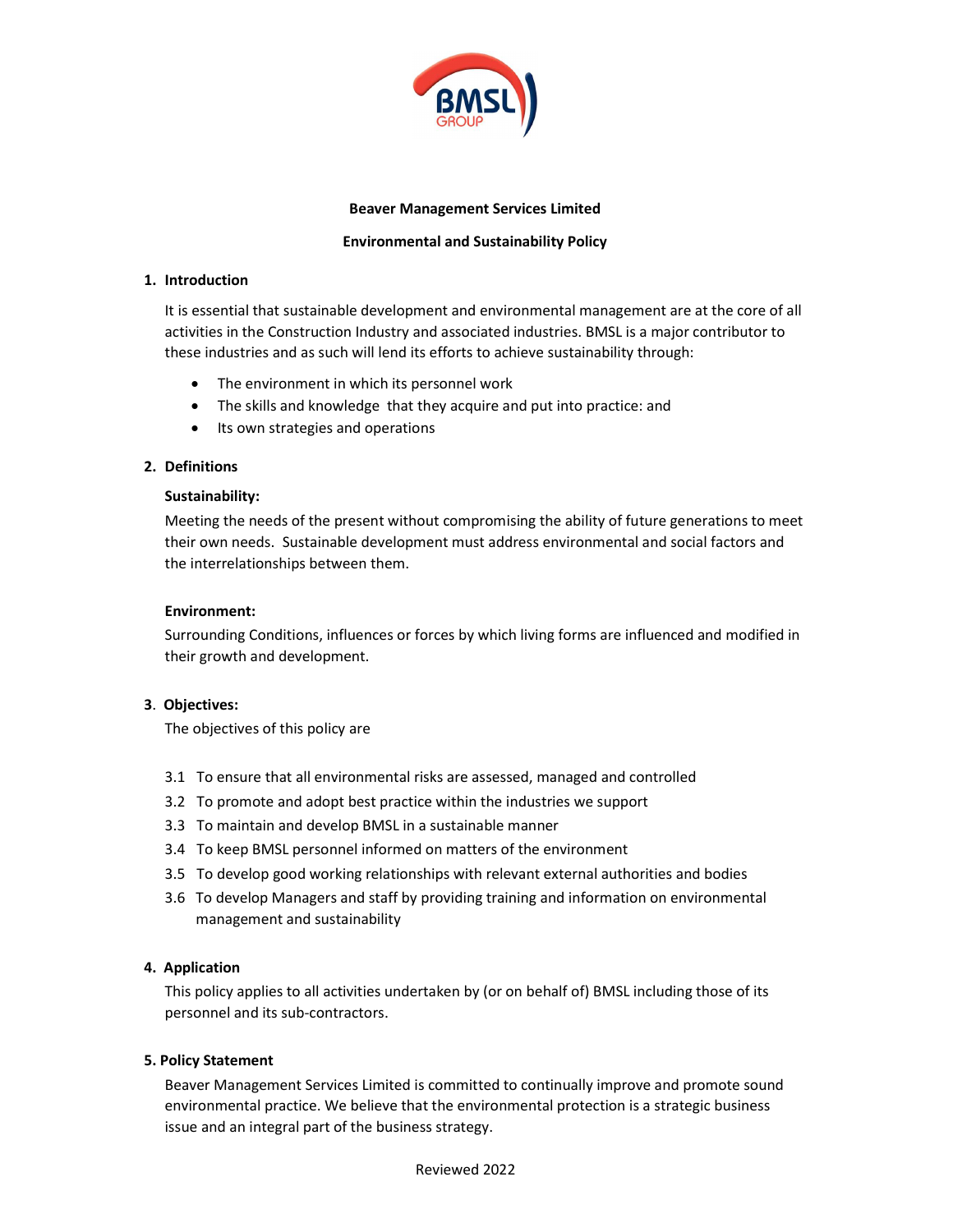

# Beaver Management Services Limited

# Environmental and Sustainability Policy

#### 1. Introduction

It is essential that sustainable development and environmental management are at the core of all activities in the Construction Industry and associated industries. BMSL is a major contributor to these industries and as such will lend its efforts to achieve sustainability through:

- The environment in which its personnel work
- The skills and knowledge that they acquire and put into practice: and
- Its own strategies and operations

### 2. Definitions

#### Sustainability:

Meeting the needs of the present without compromising the ability of future generations to meet their own needs. Sustainable development must address environmental and social factors and the interrelationships between them.

#### Environment:

Surrounding Conditions, influences or forces by which living forms are influenced and modified in their growth and development.

### 3. Objectives:

The objectives of this policy are

- 3.1 To ensure that all environmental risks are assessed, managed and controlled
- 3.2 To promote and adopt best practice within the industries we support
- 3.3 To maintain and develop BMSL in a sustainable manner
- 3.4 To keep BMSL personnel informed on matters of the environment
- 3.5 To develop good working relationships with relevant external authorities and bodies
- 3.6 To develop Managers and staff by providing training and information on environmental management and sustainability

### 4. Application

This policy applies to all activities undertaken by (or on behalf of) BMSL including those of its personnel and its sub-contractors.

# 5. Policy Statement

Beaver Management Services Limited is committed to continually improve and promote sound environmental practice. We believe that the environmental protection is a strategic business issue and an integral part of the business strategy.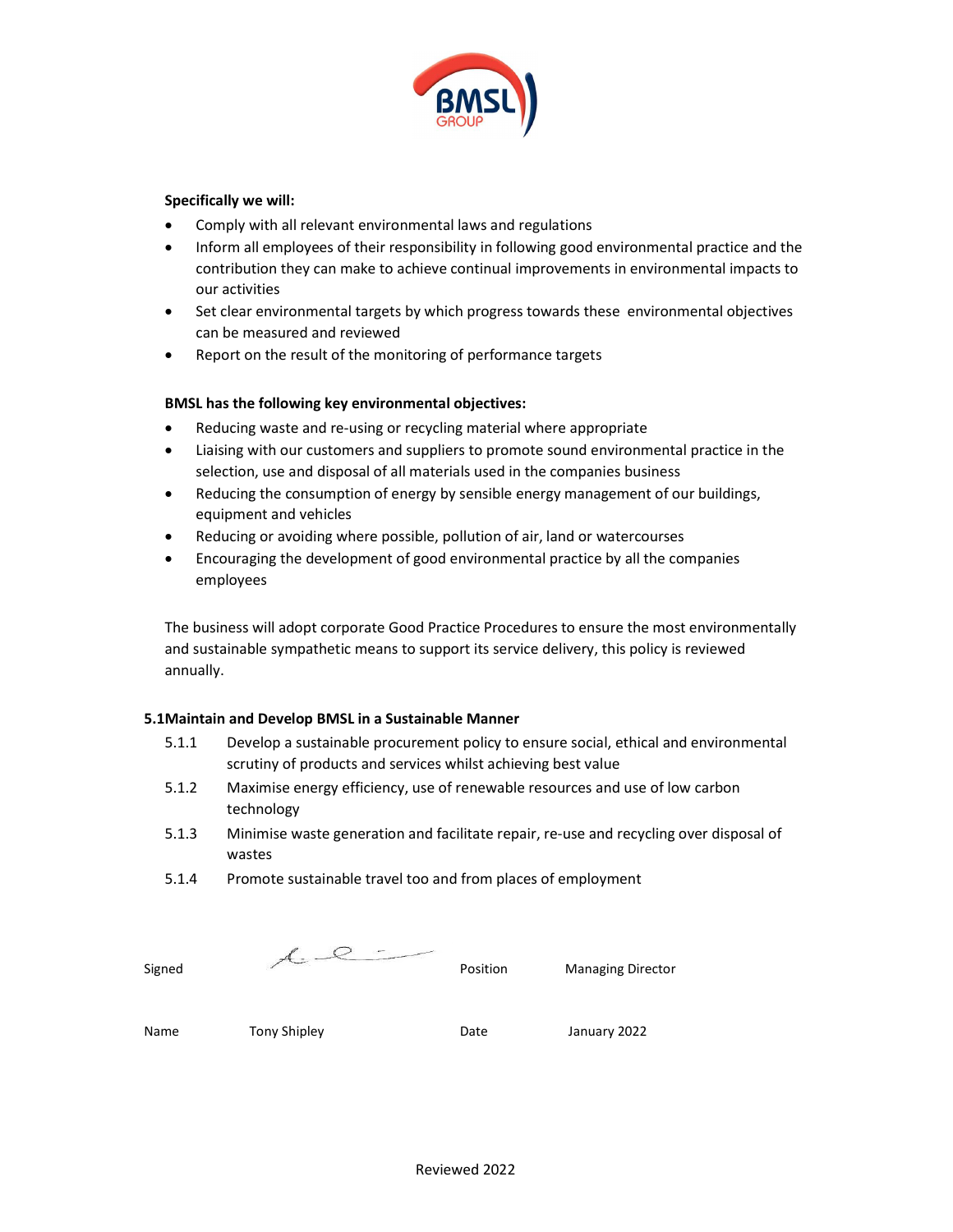

# Specifically we will:

- Comply with all relevant environmental laws and regulations
- Inform all employees of their responsibility in following good environmental practice and the contribution they can make to achieve continual improvements in environmental impacts to our activities
- Set clear environmental targets by which progress towards these environmental objectives can be measured and reviewed
- Report on the result of the monitoring of performance targets

# BMSL has the following key environmental objectives:

- Reducing waste and re-using or recycling material where appropriate
- Liaising with our customers and suppliers to promote sound environmental practice in the selection, use and disposal of all materials used in the companies business
- Reducing the consumption of energy by sensible energy management of our buildings, equipment and vehicles
- Reducing or avoiding where possible, pollution of air, land or watercourses
- Encouraging the development of good environmental practice by all the companies employees

The business will adopt corporate Good Practice Procedures to ensure the most environmentally and sustainable sympathetic means to support its service delivery, this policy is reviewed annually.

### 5.1Maintain and Develop BMSL in a Sustainable Manner

- 5.1.1 Develop a sustainable procurement policy to ensure social, ethical and environmental scrutiny of products and services whilst achieving best value
- 5.1.2 Maximise energy efficiency, use of renewable resources and use of low carbon technology
- 5.1.3 Minimise waste generation and facilitate repair, re-use and recycling over disposal of wastes
- 5.1.4 Promote sustainable travel too and from places of employment

| Signed | Position | <b>Managing Director</b> |
|--------|----------|--------------------------|

Name Tony Shipley **The Convent Convent Convent Convent** Date January 2022